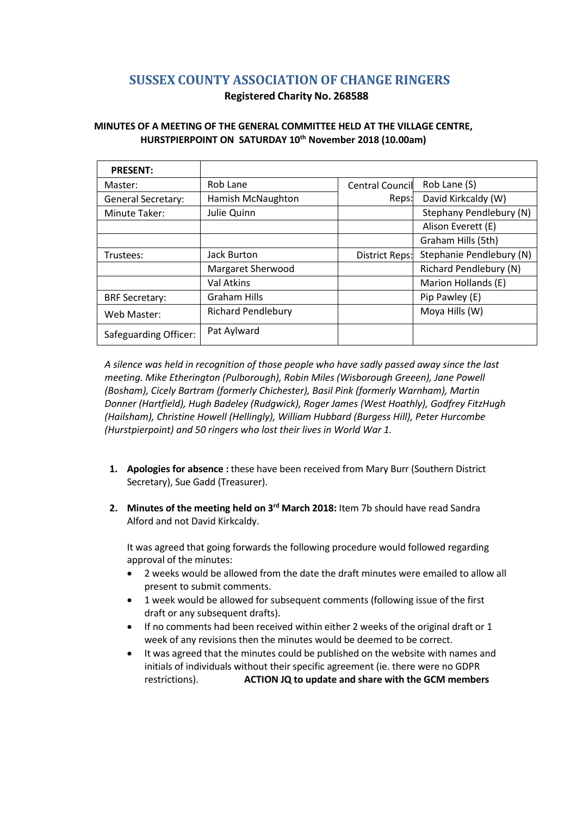# **SUSSEX COUNTY ASSOCIATION OF CHANGE RINGERS**

# **Registered Charity No. 268588**

# **MINUTES OF A MEETING OF THE GENERAL COMMITTEE HELD AT THE VILLAGE CENTRE, HURSTPIERPOINT ON SATURDAY 10th November 2018 (10.00am)**

| <b>PRESENT:</b>           |                           |                        |                               |
|---------------------------|---------------------------|------------------------|-------------------------------|
| Master:                   | Rob Lane                  | <b>Central Council</b> | Rob Lane (S)                  |
| <b>General Secretary:</b> | Hamish McNaughton         | Reps:                  | David Kirkcaldy (W)           |
| Minute Taker:             | Julie Quinn               |                        | Stephany Pendlebury (N)       |
|                           |                           |                        | Alison Everett (E)            |
|                           |                           |                        | Graham Hills (5th)            |
| Trustees:                 | <b>Jack Burton</b>        | District Reps:         | Stephanie Pendlebury (N)      |
|                           | Margaret Sherwood         |                        | <b>Richard Pendlebury (N)</b> |
|                           | Val Atkins                |                        | Marion Hollands (E)           |
| <b>BRF Secretary:</b>     | <b>Graham Hills</b>       |                        | Pip Pawley (E)                |
| Web Master:               | <b>Richard Pendlebury</b> |                        | Moya Hills (W)                |
| Safeguarding Officer:     | Pat Aylward               |                        |                               |

*A silence was held in recognition of those people who have sadly passed away since the last meeting. Mike Etherington (Pulborough), Robin Miles (Wisborough Greeen), Jane Powell (Bosham), Cicely Bartram (formerly Chichester), Basil Pink (formerly Warnham), Martin Donner (Hartfield), Hugh Badeley (Rudgwick), Roger James (West Hoathly), Godfrey FitzHugh (Hailsham), Christine Howell (Hellingly), William Hubbard (Burgess Hill), Peter Hurcombe (Hurstpierpoint) and 50 ringers who lost their lives in World War 1.*

- **1. Apologies for absence :** these have been received from Mary Burr (Southern District Secretary), Sue Gadd (Treasurer).
- 2. Minutes of the meeting held on 3<sup>rd</sup> March 2018: Item 7b should have read Sandra Alford and not David Kirkcaldy.

It was agreed that going forwards the following procedure would followed regarding approval of the minutes:

- 2 weeks would be allowed from the date the draft minutes were emailed to allow all present to submit comments.
- 1 week would be allowed for subsequent comments (following issue of the first draft or any subsequent drafts).
- If no comments had been received within either 2 weeks of the original draft or 1 week of any revisions then the minutes would be deemed to be correct.
- It was agreed that the minutes could be published on the website with names and initials of individuals without their specific agreement (ie. there were no GDPR restrictions). **ACTION JQ to update and share with the GCM members**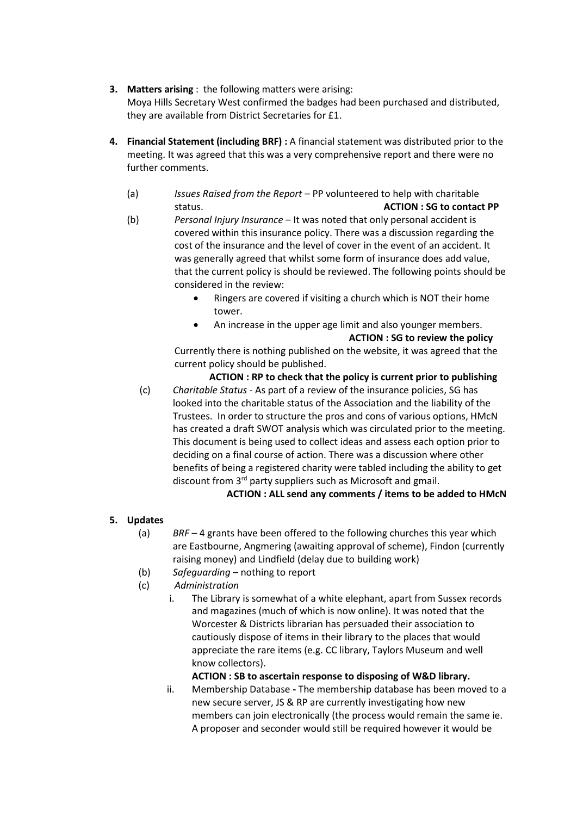- **3. Matters arising** : the following matters were arising: Moya Hills Secretary West confirmed the badges had been purchased and distributed, they are available from District Secretaries for £1.
- **4. Financial Statement (including BRF) :** A financial statement was distributed prior to the meeting. It was agreed that this was a very comprehensive report and there were no further comments.
	- (a) *Issues Raised from the Report* PP volunteered to help with charitable status. **ACTION : SG to contact PP**
	- (b) *Personal Injury Insurance* It was noted that only personal accident is covered within this insurance policy. There was a discussion regarding the cost of the insurance and the level of cover in the event of an accident. It was generally agreed that whilst some form of insurance does add value, that the current policy is should be reviewed. The following points should be considered in the review:
		- Ringers are covered if visiting a church which is NOT their home tower.
		- An increase in the upper age limit and also younger members. **ACTION : SG to review the policy**

Currently there is nothing published on the website, it was agreed that the current policy should be published.

**ACTION : RP to check that the policy is current prior to publishing** (c) *Charitable Status* - As part of a review of the insurance policies, SG has looked into the charitable status of the Association and the liability of the Trustees. In order to structure the pros and cons of various options, HMcN has created a draft SWOT analysis which was circulated prior to the meeting. This document is being used to collect ideas and assess each option prior to deciding on a final course of action. There was a discussion where other benefits of being a registered charity were tabled including the ability to get discount from 3rd party suppliers such as Microsoft and gmail.

**ACTION : ALL send any comments / items to be added to HMcN**

# **5. Updates**

- (a) *BRF* 4 grants have been offered to the following churches this year which are Eastbourne, Angmering (awaiting approval of scheme), Findon (currently raising money) and Lindfield (delay due to building work)
- (b) *Safeguarding* nothing to report
- (c) *Administration*
	- i. The Library is somewhat of a white elephant, apart from Sussex records and magazines (much of which is now online). It was noted that the Worcester & Districts librarian has persuaded their association to cautiously dispose of items in their library to the places that would appreciate the rare items (e.g. CC library, Taylors Museum and well know collectors).

**ACTION : SB to ascertain response to disposing of W&D library.**

ii. Membership Database **-** The membership database has been moved to a new secure server, JS & RP are currently investigating how new members can join electronically (the process would remain the same ie. A proposer and seconder would still be required however it would be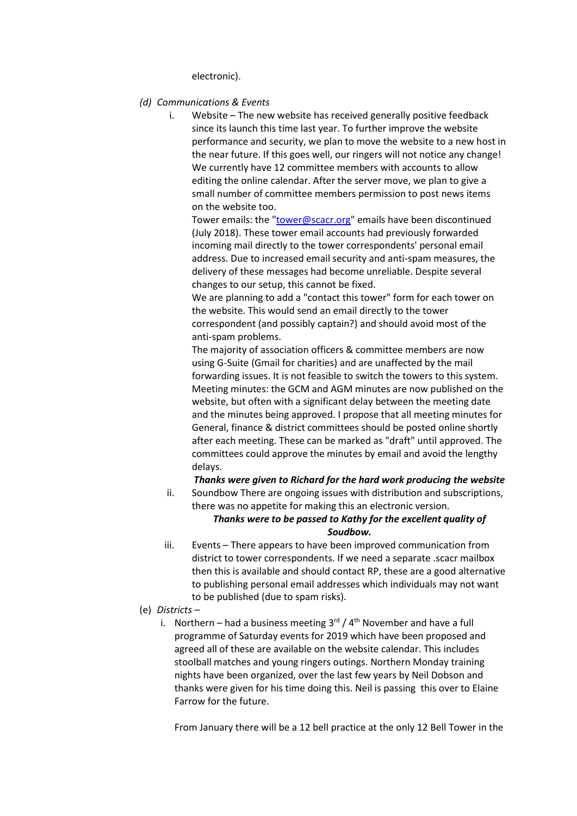electronic).

- *(d) Communications & Events* 
	- i. Website The new website has received generally positive feedback since its launch this time last year. To further improve the website performance and security, we plan to move the website to a new host in the near future. If this goes well, our ringers will not notice any change! We currently have 12 committee members with accounts to allow editing the online calendar. After the server move, we plan to give a small number of committee members permission to post news items on the website too.

Tower emails: the ["tower@scacr.org"](mailto:tower@scacr.org) emails have been discontinued (July 2018). These tower email accounts had previously forwarded incoming mail directly to the tower correspondents' personal email address. Due to increased email security and anti-spam measures, the delivery of these messages had become unreliable. Despite several changes to our setup, this cannot be fixed.

We are planning to add a "contact this tower" form for each tower on the website. This would send an email directly to the tower correspondent (and possibly captain?) and should avoid most of the anti-spam problems.

The majority of association officers & committee members are now using G-Suite (Gmail for charities) and are unaffected by the mail forwarding issues. It is not feasible to switch the towers to this system. Meeting minutes: the GCM and AGM minutes are now published on the website, but often with a significant delay between the meeting date and the minutes being approved. I propose that all meeting minutes for General, finance & district committees should be posted online shortly after each meeting. These can be marked as "draft" until approved. The committees could approve the minutes by email and avoid the lengthy delays.

*Thanks were given to Richard for the hard work producing the website*

ii. Soundbow There are ongoing issues with distribution and subscriptions, there was no appetite for making this an electronic version.

# *Thanks were to be passed to Kathy for the excellent quality of Soudbow.*

- iii. Events There appears to have been improved communication from district to tower correspondents. If we need a separate .scacr mailbox then this is available and should contact RP, these are a good alternative to publishing personal email addresses which individuals may not want to be published (due to spam risks).
- (e) *Districts*
	- i. Northern had a business meeting  $3<sup>rd</sup> / 4<sup>th</sup>$  November and have a full programme of Saturday events for 2019 which have been proposed and agreed all of these are available on the website calendar. This includes stoolball matches and young ringers outings. Northern Monday training nights have been organized, over the last few years by Neil Dobson and thanks were given for his time doing this. Neil is passing this over to Elaine Farrow for the future.

From January there will be a 12 bell practice at the only 12 Bell Tower in the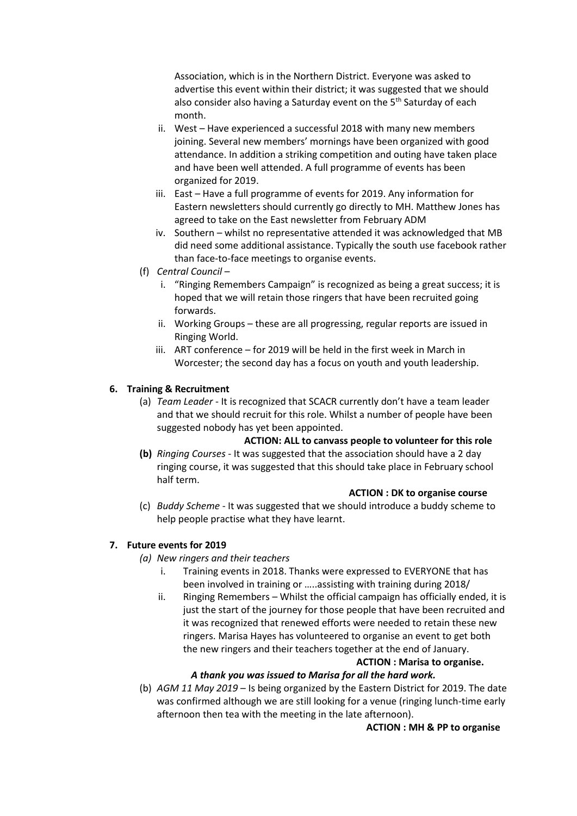Association, which is in the Northern District. Everyone was asked to advertise this event within their district; it was suggested that we should also consider also having a Saturday event on the 5<sup>th</sup> Saturday of each month.

- ii. West Have experienced a successful 2018 with many new members joining. Several new members' mornings have been organized with good attendance. In addition a striking competition and outing have taken place and have been well attended. A full programme of events has been organized for 2019.
- iii. East Have a full programme of events for 2019. Any information for Eastern newsletters should currently go directly to MH. Matthew Jones has agreed to take on the East newsletter from February ADM
- iv. Southern whilst no representative attended it was acknowledged that MB did need some additional assistance. Typically the south use facebook rather than face-to-face meetings to organise events.
- (f) *Central Council*
	- i. "Ringing Remembers Campaign" is recognized as being a great success; it is hoped that we will retain those ringers that have been recruited going forwards.
	- ii. Working Groups these are all progressing, regular reports are issued in Ringing World.
	- iii. ART conference for 2019 will be held in the first week in March in Worcester; the second day has a focus on youth and youth leadership.

# **6. Training & Recruitment**

(a) *Team Leader* - It is recognized that SCACR currently don't have a team leader and that we should recruit for this role. Whilst a number of people have been suggested nobody has yet been appointed.

# **ACTION: ALL to canvass people to volunteer for this role**

**(b)** *Ringing Courses* - It was suggested that the association should have a 2 day ringing course, it was suggested that this should take place in February school half term.

### **ACTION : DK to organise course**

(c) *Buddy Scheme* - It was suggested that we should introduce a buddy scheme to help people practise what they have learnt.

### **7. Future events for 2019**

- *(a) New ringers and their teachers*
	- i. Training events in 2018. Thanks were expressed to EVERYONE that has been involved in training or …..assisting with training during 2018/
	- ii. Ringing Remembers Whilst the official campaign has officially ended, it is just the start of the journey for those people that have been recruited and it was recognized that renewed efforts were needed to retain these new ringers. Marisa Hayes has volunteered to organise an event to get both the new ringers and their teachers together at the end of January.

# **ACTION : Marisa to organise.**

### *A thank you was issued to Marisa for all the hard work.*

(b) *AGM 11 May 2019* – Is being organized by the Eastern District for 2019. The date was confirmed although we are still looking for a venue (ringing lunch-time early afternoon then tea with the meeting in the late afternoon).

#### **ACTION : MH & PP to organise**